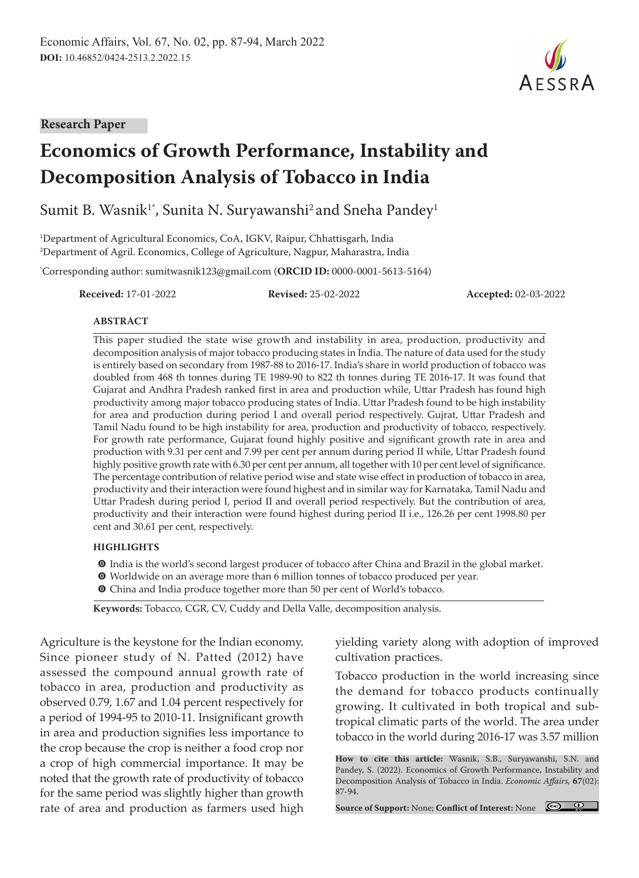**Research Paper**

# **Economics of Growth Performance, Instability and Decomposition Analysis of Tobacco in India**

Sumit B. Wasnik<sup>1\*</sup>, Sunita N. Suryawanshi<sup>2</sup> and Sneha Pandey<sup>1</sup>

1 Department of Agricultural Economics, CoA, IGKV, Raipur, Chhattisgarh, India 2 Department of Agril. Economics, College of Agriculture, Nagpur, Maharastra, India

\* Corresponding author: sumitwasnik123@gmail.com (**ORCID ID:** 0000-0001-5613-5164)

**Received:** 17-01-2022 **Revised:** 25-02-2022 **Accepted:** 02-03-2022

#### **ABSTRACT**

This paper studied the state wise growth and instability in area, production, productivity and decomposition analysis of major tobacco producing states in India. The nature of data used for the study is entirely based on secondary from 1987-88 to 2016-17. India's share in world production of tobacco was doubled from 468 th tonnes during TE 1989-90 to 822 th tonnes during TE 2016-17. It was found that Gujarat and Andhra Pradesh ranked first in area and production while, Uttar Pradesh has found high productivity among major tobacco producing states of India. Uttar Pradesh found to be high instability for area and production during period I and overall period respectively. Gujrat, Uttar Pradesh and Tamil Nadu found to be high instability for area, production and productivity of tobacco, respectively. For growth rate performance, Gujarat found highly positive and significant growth rate in area and production with 9.31 per cent and 7.99 per cent per annum during period II while, Uttar Pradesh found highly positive growth rate with 6.30 per cent per annum, all together with 10 per cent level of significance. The percentage contribution of relative period wise and state wise effect in production of tobacco in area, productivity and their interaction were found highest and in similar way for Karnataka, Tamil Nadu and Uttar Pradesh during period I, period II and overall period respectively. But the contribution of area, productivity and their interaction were found highest during period II i.e., 126.26 per cent 1998.80 per cent and 30.61 per cent, respectively.

#### **HIGHLIGHTS**

- m India is the world's second largest producer of tobacco after China and Brazil in the global market.
- **O** Worldwide on an average more than 6 million tonnes of tobacco produced per year.
- O China and India produce together more than 50 per cent of World's tobacco.

**Keywords:** Tobacco, CGR, CV, Cuddy and Della Valle, decomposition analysis.

Agriculture is the keystone for the Indian economy. Since pioneer study of N. Patted (2012) have assessed the compound annual growth rate of tobacco in area, production and productivity as observed 0.79, 1.67 and 1.04 percent respectively for a period of 1994-95 to 2010-11. Insignificant growth in area and production signifies less importance to the crop because the crop is neither a food crop nor a crop of high commercial importance. It may be noted that the growth rate of productivity of tobacco for the same period was slightly higher than growth rate of area and production as farmers used high yielding variety along with adoption of improved cultivation practices.

Tobacco production in the world increasing since the demand for tobacco products continually growing. It cultivated in both tropical and subtropical climatic parts of the world. The area under tobacco in the world during 2016-17 was 3.57 million

**How to cite this article:** Wasnik, S.B., Suryawanshi, S.N. and Pandey, S. (2022). Economics of Growth Performance, Instability and Decomposition Analysis of Tobacco in India. *Economic Affairs,* **67**(02): 87-94.

**Source of Support:** None; **Conflict of Interest:** None

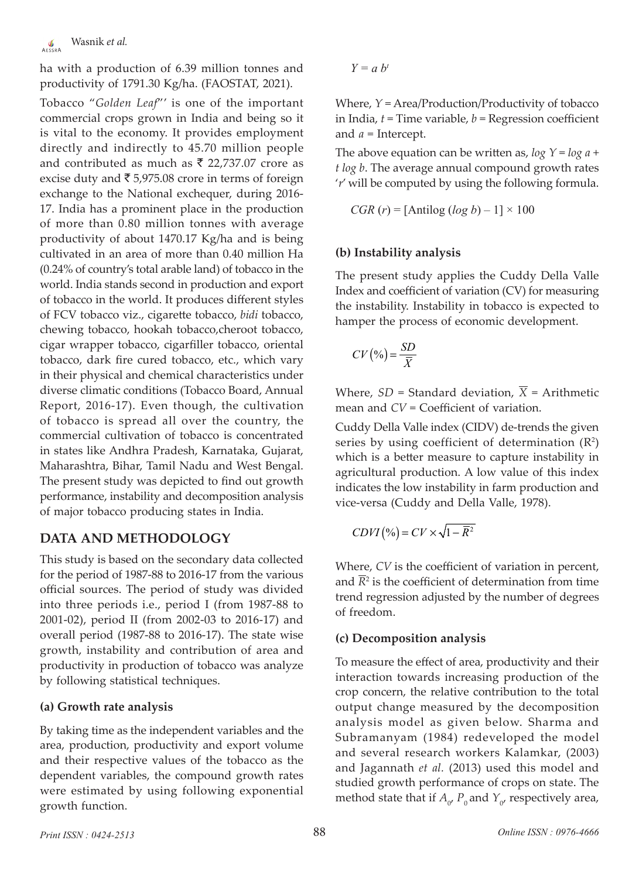ha with a production of 6.39 million tonnes and productivity of 1791.30 Kg/ha. (FAOSTAT, 2021).

Tobacco "*Golden Leaf*"' is one of the important commercial crops grown in India and being so it is vital to the economy. It provides employment directly and indirectly to 45.70 million people and contributed as much as  $\bar{\tau}$  22,737.07 crore as excise duty and  $\bar{\tau}$  5,975.08 crore in terms of foreign exchange to the National exchequer, during 2016- 17. India has a prominent place in the production of more than 0.80 million tonnes with average productivity of about 1470.17 Kg/ha and is being cultivated in an area of more than 0.40 million Ha (0.24% of country's total arable land) of tobacco in the world. India stands second in production and export of tobacco in the world. It produces different styles of FCV tobacco viz., cigarette tobacco, *bidi* tobacco, chewing tobacco, hookah tobacco,cheroot tobacco, cigar wrapper tobacco, cigarfiller tobacco, oriental tobacco, dark fire cured tobacco, etc., which vary in their physical and chemical characteristics under diverse climatic conditions (Tobacco Board, Annual Report, 2016-17). Even though, the cultivation of tobacco is spread all over the country, the commercial cultivation of tobacco is concentrated in states like Andhra Pradesh, Karnataka, Gujarat, Maharashtra, Bihar, Tamil Nadu and West Bengal. The present study was depicted to find out growth performance, instability and decomposition analysis of major tobacco producing states in India.

## **DATA AND METHODOLOGY**

This study is based on the secondary data collected for the period of 1987-88 to 2016-17 from the various official sources. The period of study was divided into three periods i.e., period I (from 1987-88 to 2001-02), period II (from 2002-03 to 2016-17) and overall period (1987-88 to 2016-17). The state wise growth, instability and contribution of area and productivity in production of tobacco was analyze by following statistical techniques.

## **(a) Growth rate analysis**

By taking time as the independent variables and the area, production, productivity and export volume and their respective values of the tobacco as the dependent variables, the compound growth rates were estimated by using following exponential growth function.

$$
Y=a\;b^t
$$

Where, *Y* = Area/Production/Productivity of tobacco in India, *t* = Time variable, *b* = Regression coefficient and *a* = Intercept.

The above equation can be written as, *log Y* = *log a* + *t log b*. The average annual compound growth rates '*r*' will be computed by using the following formula.

$$
CGR (r) = [Antilog (log b) - 1] \times 100
$$

#### **(b) Instability analysis**

The present study applies the Cuddy Della Valle Index and coefficient of variation (CV) for measuring the instability. Instability in tobacco is expected to hamper the process of economic development.

$$
CV\left(\%\right) = \frac{SD}{\overline{X}}
$$

Where,  $SD = Standard$  deviation,  $\overline{X} = Arithmetic$ mean and *CV* = Coefficient of variation.

Cuddy Della Valle index (CIDV) de-trends the given series by using coefficient of determination  $(R^2)$ which is a better measure to capture instability in agricultural production. A low value of this index indicates the low instability in farm production and vice-versa (Cuddy and Della Valle, 1978).

$$
CDVI\left(\%\right) = CV \times \sqrt{1 - \overline{R}^2}
$$

Where, *CV* is the coefficient of variation in percent, and  $R<sup>2</sup>$  is the coefficient of determination from time trend regression adjusted by the number of degrees of freedom.

## **(c) Decomposition analysis**

To measure the effect of area, productivity and their interaction towards increasing production of the crop concern, the relative contribution to the total output change measured by the decomposition analysis model as given below. Sharma and Subramanyam (1984) redeveloped the model and several research workers Kalamkar, (2003) and Jagannath *et al.* (2013) used this model and studied growth performance of crops on state. The method state that if  $A_0$ ,  $P_0$  and  $Y_0$ , respectively area,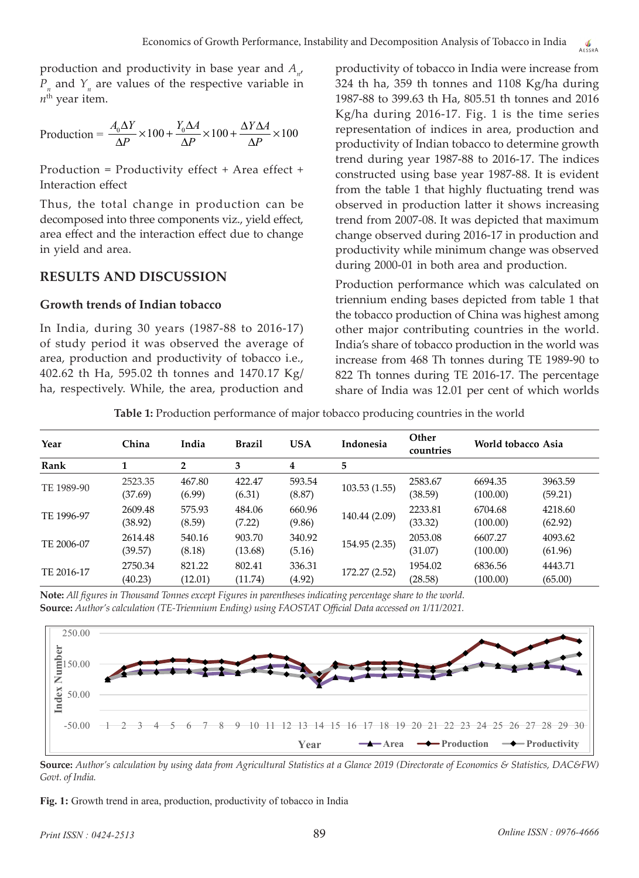production and productivity in base year and *An* ,  $P_n$  and  $Y_n$  are values of the respective variable in  $n<sup>th</sup>$  year item.

$$
Production = \frac{A_0 \Delta Y}{\Delta P} \times 100 + \frac{Y_0 \Delta A}{\Delta P} \times 100 + \frac{\Delta Y \Delta A}{\Delta P} \times 100
$$

Production = Productivity effect + Area effect + Interaction effect

Thus, the total change in production can be decomposed into three components viz., yield effect, area effect and the interaction effect due to change in yield and area.

#### **RESULTS AND DISCUSSION**

#### **Growth trends of Indian tobacco**

In India, during 30 years (1987-88 to 2016-17) of study period it was observed the average of area, production and productivity of tobacco i.e., 402.62 th Ha, 595.02 th tonnes and 1470.17 Kg/ ha, respectively. While, the area, production and productivity of tobacco in India were increase from 324 th ha, 359 th tonnes and 1108 Kg/ha during 1987-88 to 399.63 th Ha, 805.51 th tonnes and 2016 Kg/ha during 2016-17. Fig. 1 is the time series representation of indices in area, production and productivity of Indian tobacco to determine growth trend during year 1987-88 to 2016-17. The indices constructed using base year 1987-88. It is evident from the table 1 that highly fluctuating trend was observed in production latter it shows increasing trend from 2007-08. It was depicted that maximum change observed during 2016-17 in production and productivity while minimum change was observed during 2000-01 in both area and production.

Production performance which was calculated on triennium ending bases depicted from table 1 that the tobacco production of China was highest among other major contributing countries in the world. India's share of tobacco production in the world was increase from 468 Th tonnes during TE 1989-90 to 822 Th tonnes during TE 2016-17. The percentage share of India was 12.01 per cent of which worlds

**Table 1:** Production performance of major tobacco producing countries in the world

| Year       | China              | India             | <b>Brazil</b>     | <b>USA</b>       | Indonesia     | Other<br>countries | World tobacco Asia  |                    |
|------------|--------------------|-------------------|-------------------|------------------|---------------|--------------------|---------------------|--------------------|
| Rank       |                    | $\overline{2}$    | 3                 | 4                | 5             |                    |                     |                    |
| TE 1989-90 | 2523.35<br>(37.69) | 467.80<br>(6.99)  | 422.47<br>(6.31)  | 593.54<br>(8.87) | 103.53(1.55)  | 2583.67<br>(38.59) | 6694.35<br>(100.00) | 3963.59<br>(59.21) |
| TE 1996-97 | 2609.48<br>(38.92) | 575.93<br>(8.59)  | 484.06<br>(7.22)  | 660.96<br>(9.86) | 140.44 (2.09) | 2233.81<br>(33.32) | 6704.68<br>(100.00) | 4218.60<br>(62.92) |
| TE 2006-07 | 2614.48<br>(39.57) | 540.16<br>(8.18)  | 903.70<br>(13.68) | 340.92<br>(5.16) | 154.95 (2.35) | 2053.08<br>(31.07) | 6607.27<br>(100.00) | 4093.62<br>(61.96) |
| TE 2016-17 | 2750.34<br>(40.23) | 821.22<br>(12.01) | 802.41<br>(11.74) | 336.31<br>(4.92) | 172.27 (2.52) | 1954.02<br>(28.58) | 6836.56<br>(100.00) | 4443.71<br>(65.00) |

**Note:** *All figures in Thousand Tonnes except Figures in parentheses indicating percentage share to the world.* **Source:** *Author's calculation (TE-Triennium Ending) using FAOSTAT Official Data accessed on 1/11/2021.*



**Source:** *Author's calculation by using data from Agricultural Statistics at a Glance 2019 (Directorate of Economics & Statistics, DAC&FW) Govt. of India.*

**Fig. 1:** Growth trend in area, production, productivity of tobacco in India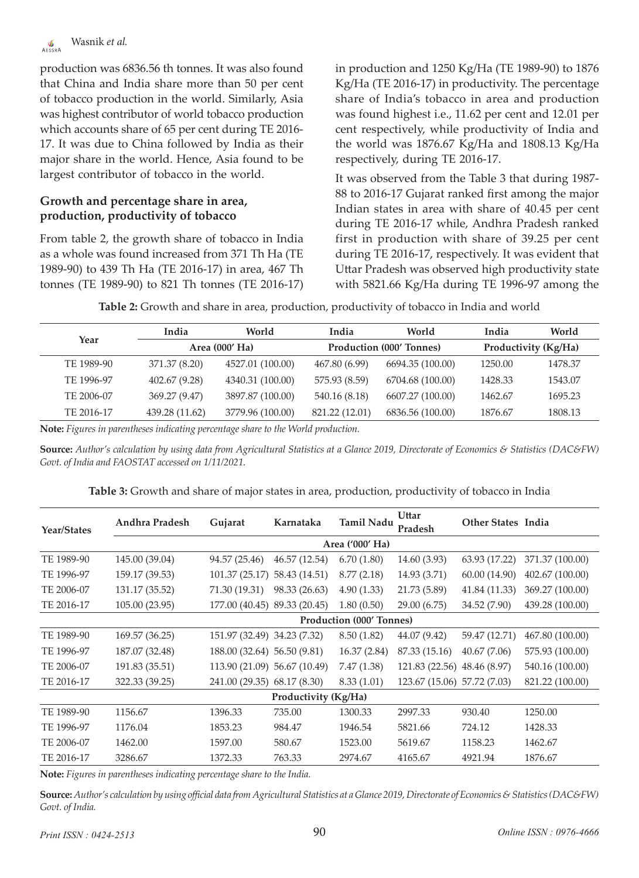production was 6836.56 th tonnes. It was also found that China and India share more than 50 per cent of tobacco production in the world. Similarly, Asia was highest contributor of world tobacco production which accounts share of 65 per cent during TE 2016- 17. It was due to China followed by India as their major share in the world. Hence, Asia found to be largest contributor of tobacco in the world.

#### **Growth and percentage share in area, production, productivity of tobacco**

From table 2, the growth share of tobacco in India as a whole was found increased from 371 Th Ha (TE 1989-90) to 439 Th Ha (TE 2016-17) in area, 467 Th tonnes (TE 1989-90) to 821 Th tonnes (TE 2016-17) in production and 1250 Kg/Ha (TE 1989-90) to 1876 Kg/Ha (TE 2016-17) in productivity. The percentage share of India's tobacco in area and production was found highest i.e., 11.62 per cent and 12.01 per cent respectively, while productivity of India and the world was 1876.67 Kg/Ha and 1808.13 Kg/Ha respectively, during TE 2016-17.

It was observed from the Table 3 that during 1987- 88 to 2016-17 Gujarat ranked first among the major Indian states in area with share of 40.45 per cent during TE 2016-17 while, Andhra Pradesh ranked first in production with share of 39.25 per cent during TE 2016-17, respectively. It was evident that Uttar Pradesh was observed high productivity state with 5821.66 Kg/Ha during TE 1996-97 among the

**Table 2:** Growth and share in area, production, productivity of tobacco in India and world

| Year       | India          | World            | India          | World                           | India                | World   |  |  |
|------------|----------------|------------------|----------------|---------------------------------|----------------------|---------|--|--|
|            |                | Area (000' Ha)   |                | <b>Production (000' Tonnes)</b> | Productivity (Kg/Ha) |         |  |  |
| TE 1989-90 | 371.37 (8.20)  | 4527.01 (100.00) | 467.80 (6.99)  | 6694.35 (100.00)                | 1250.00              | 1478.37 |  |  |
| TE 1996-97 | 402.67 (9.28)  | 4340.31 (100.00) | 575.93 (8.59)  | 6704.68 (100.00)                | 1428.33              | 1543.07 |  |  |
| TE 2006-07 | 369.27 (9.47)  | 3897.87 (100.00) | 540.16 (8.18)  | 6607.27 (100.00)                | 1462.67              | 1695.23 |  |  |
| TE 2016-17 | 439.28 (11.62) | 3779.96 (100.00) | 821.22 (12.01) | 6836.56 (100.00)                | 1876.67              | 1808.13 |  |  |

**Note:** *Figures in parentheses indicating percentage share to the World production.*

**Source:** *Author's calculation by using data from Agricultural Statistics at a Glance 2019, Directorate of Economics & Statistics (DAC&FW) Govt. of India and FAOSTAT accessed on 1/11/2021.*

| Year/States                     | Andhra Pradesh | Gujarat                      | Karnataka            | Tamil Nadu      | Uttar<br>Pradesh            | <b>Other States India</b> |                 |  |  |
|---------------------------------|----------------|------------------------------|----------------------|-----------------|-----------------------------|---------------------------|-----------------|--|--|
|                                 |                |                              |                      | Area ('000' Ha) |                             |                           |                 |  |  |
| TE 1989-90                      | 145.00 (39.04) | 94.57 (25.46)                | 46.57 (12.54)        | 6.70(1.80)      | 14.60 (3.93)                | 63.93 (17.22)             | 371.37 (100.00) |  |  |
| TE 1996-97                      | 159.17 (39.53) | 101.37(25.17)                | 58.43 (14.51)        | 8.77(2.18)      | 14.93 (3.71)                | 60.00 (14.90)             | 402.67 (100.00) |  |  |
| TE 2006-07                      | 131.17 (35.52) | 71.30 (19.31)                | 98.33 (26.63)        | 4.90(1.33)      | 21.73 (5.89)                | 41.84 (11.33)             | 369.27 (100.00) |  |  |
| TE 2016-17                      | 105.00 (23.95) | 177.00 (40.45) 89.33 (20.45) |                      | 1.80(0.50)      | 29.00 (6.75)                | 34.52 (7.90)              | 439.28 (100.00) |  |  |
| <b>Production (000' Tonnes)</b> |                |                              |                      |                 |                             |                           |                 |  |  |
| TE 1989-90                      | 169.57 (36.25) | 151.97 (32.49) 34.23 (7.32)  |                      | 8.50 (1.82)     | 44.07 (9.42)                | 59.47 (12.71)             | 467.80 (100.00) |  |  |
| TE 1996-97                      | 187.07 (32.48) | 188.00 (32.64) 56.50 (9.81)  |                      | 16.37 (2.84)    | 87.33 (15.16)               | 40.67(7.06)               | 575.93 (100.00) |  |  |
| TE 2006-07                      | 191.83 (35.51) | 113.90 (21.09) 56.67 (10.49) |                      | 7.47(1.38)      | 121.83 (22.56)              | 48.46 (8.97)              | 540.16 (100.00) |  |  |
| TE 2016-17                      | 322.33 (39.25) | 241.00 (29.35) 68.17 (8.30)  |                      | 8.33 (1.01)     | 123.67 (15.06) 57.72 (7.03) |                           | 821.22 (100.00) |  |  |
|                                 |                |                              | Productivity (Kg/Ha) |                 |                             |                           |                 |  |  |
| TE 1989-90                      | 1156.67        | 1396.33                      | 735.00               | 1300.33         | 2997.33                     | 930.40                    | 1250.00         |  |  |
| TE 1996-97                      | 1176.04        | 1853.23                      | 984.47               | 1946.54         | 5821.66                     | 724.12                    | 1428.33         |  |  |
| TE 2006-07                      | 1462.00        | 1597.00                      | 580.67               | 1523.00         | 5619.67                     | 1158.23                   | 1462.67         |  |  |
| TE 2016-17                      | 3286.67        | 1372.33                      | 763.33               | 2974.67         | 4165.67                     | 4921.94                   | 1876.67         |  |  |

**Table 3:** Growth and share of major states in area, production, productivity of tobacco in India

**Note:** *Figures in parentheses indicating percentage share to the India.*

**Source:** *Author's calculation by using official data from Agricultural Statistics at a Glance 2019, Directorate of Economics & Statistics (DAC&FW) Govt. of India.*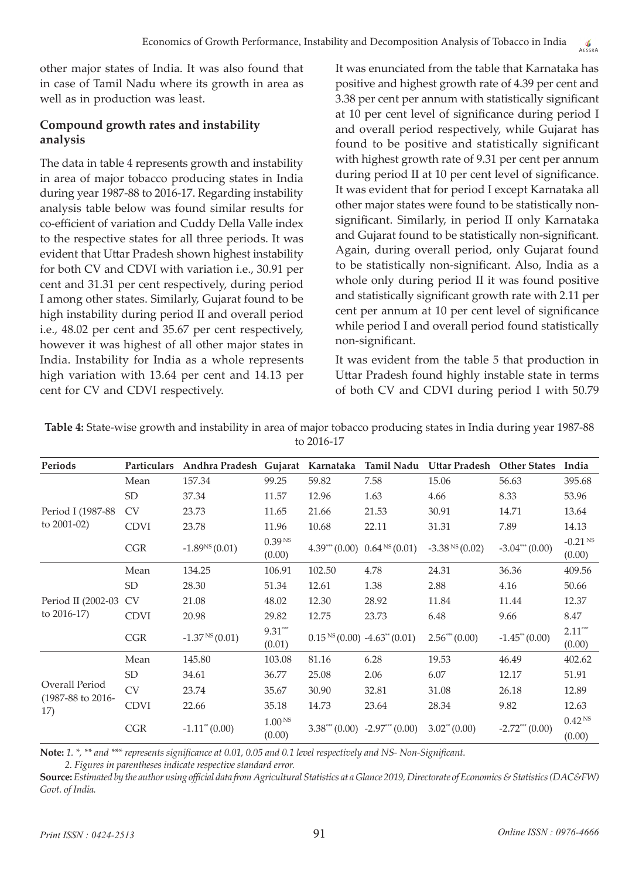other major states of India. It was also found that in case of Tamil Nadu where its growth in area as well as in production was least.

## **Compound growth rates and instability analysis**

The data in table 4 represents growth and instability in area of major tobacco producing states in India during year 1987-88 to 2016-17. Regarding instability analysis table below was found similar results for co-efficient of variation and Cuddy Della Valle index to the respective states for all three periods. It was evident that Uttar Pradesh shown highest instability for both CV and CDVI with variation i.e., 30.91 per cent and 31.31 per cent respectively, during period I among other states. Similarly, Gujarat found to be high instability during period II and overall period i.e., 48.02 per cent and 35.67 per cent respectively, however it was highest of all other major states in India. Instability for India as a whole represents high variation with 13.64 per cent and 14.13 per cent for CV and CDVI respectively.

It was enunciated from the table that Karnataka has positive and highest growth rate of 4.39 per cent and 3.38 per cent per annum with statistically significant at 10 per cent level of significance during period I and overall period respectively, while Gujarat has found to be positive and statistically significant with highest growth rate of 9.31 per cent per annum during period II at 10 per cent level of significance. It was evident that for period I except Karnataka all other major states were found to be statistically nonsignificant. Similarly, in period II only Karnataka and Gujarat found to be statistically non-significant. Again, during overall period, only Gujarat found to be statistically non-significant. Also, India as a whole only during period II it was found positive and statistically significant growth rate with 2.11 per cent per annum at 10 per cent level of significance while period I and overall period found statistically non-significant.

It was evident from the table 5 that production in Uttar Pradesh found highly instable state in terms of both CV and CDVI during period I with 50.79

| Periods                                                                                                                                                                                                                                                                                                                                                                                                                                                                                                                                                                                                                                                                                                                                                                                                                                                                                                                                                                                                                                                                                                                                                                                                              | <b>Particulars</b> |        |        | Karnataka | <b>Tamil Nadu</b> |       | <b>Other States</b>                                                                                                                         | India                        |
|----------------------------------------------------------------------------------------------------------------------------------------------------------------------------------------------------------------------------------------------------------------------------------------------------------------------------------------------------------------------------------------------------------------------------------------------------------------------------------------------------------------------------------------------------------------------------------------------------------------------------------------------------------------------------------------------------------------------------------------------------------------------------------------------------------------------------------------------------------------------------------------------------------------------------------------------------------------------------------------------------------------------------------------------------------------------------------------------------------------------------------------------------------------------------------------------------------------------|--------------------|--------|--------|-----------|-------------------|-------|---------------------------------------------------------------------------------------------------------------------------------------------|------------------------------|
|                                                                                                                                                                                                                                                                                                                                                                                                                                                                                                                                                                                                                                                                                                                                                                                                                                                                                                                                                                                                                                                                                                                                                                                                                      | Mean               | 157.34 | 99.25  | 59.82     | 7.58              | 15.06 | 56.63                                                                                                                                       | 395.68                       |
| Andhra Pradesh Gujarat<br>Uttar Pradesh<br><b>SD</b><br>37.34<br>11.57<br>12.96<br>1.63<br>4.66<br>Period I (1987-88)<br><b>CV</b><br>23.73<br>30.91<br>11.65<br>21.66<br>21.53<br>to $2001-02$ )<br><b>CDVI</b><br>23.78<br>11.96<br>10.68<br>22.11<br>31.31<br>0.39 <sup>NS</sup><br>$-1.89^{NS}(0.01)$<br>4.39*** (0.00) 0.64 <sup>NS</sup> (0.01)<br>$-3.38NS(0.02)$<br><b>CGR</b><br>(0.00)<br>Mean<br>134.25<br>106.91<br>102.50<br>4.78<br>24.31<br><b>SD</b><br>28.30<br>2.88<br>51.34<br>12.61<br>1.38<br>Period II (2002-03<br><b>CV</b><br>21.08<br>12.30<br>28.92<br>11.84<br>48.02<br>to $2016-17$ )<br><b>CDVI</b><br>20.98<br>29.82<br>6.48<br>12.75<br>23.73<br>$9.31***$<br>$-1.37NS(0.01)$<br>$2.56***(0.00)$<br>$0.15^{NS}(0.00) -4.63^{**}(0.01)$<br><b>CGR</b><br>(0.01)<br>Mean<br>6.28<br>145.80<br>103.08<br>81.16<br>19.53<br><b>SD</b><br>34.61<br>2.06<br>6.07<br>36.77<br>25.08<br>Overall Period<br><b>CV</b><br>23.74<br>35.67<br>30.90<br>32.81<br>31.08<br>$(1987-88 \text{ to } 2016-$<br><b>CDVI</b><br>22.66<br>23.64<br>28.34<br>35.18<br>14.73<br>17)<br>1.00 <sup>NS</sup><br>$-1.11$ <sup>*</sup> (0.00)<br>$3.02^{**}(0.00)$<br><b>CGR</b><br>$3.38***(0.00) -2.97***(0.00)$ | 8.33               | 53.96  |        |           |                   |       |                                                                                                                                             |                              |
|                                                                                                                                                                                                                                                                                                                                                                                                                                                                                                                                                                                                                                                                                                                                                                                                                                                                                                                                                                                                                                                                                                                                                                                                                      |                    |        |        |           |                   |       | 14.71                                                                                                                                       | 13.64                        |
|                                                                                                                                                                                                                                                                                                                                                                                                                                                                                                                                                                                                                                                                                                                                                                                                                                                                                                                                                                                                                                                                                                                                                                                                                      |                    |        |        |           |                   |       | 7.89                                                                                                                                        | 14.13                        |
|                                                                                                                                                                                                                                                                                                                                                                                                                                                                                                                                                                                                                                                                                                                                                                                                                                                                                                                                                                                                                                                                                                                                                                                                                      |                    |        |        |           |                   |       | $-3.04***(0.00)$<br>36.36<br>4.16<br>11.44<br>9.66<br>$-1.45$ <sup>*</sup> $(0.00)$<br>46.49<br>12.17<br>26.18<br>9.82<br>$-2.72***$ (0.00) | $-0.21$ NS<br>(0.00)         |
|                                                                                                                                                                                                                                                                                                                                                                                                                                                                                                                                                                                                                                                                                                                                                                                                                                                                                                                                                                                                                                                                                                                                                                                                                      |                    |        |        |           |                   |       |                                                                                                                                             | 409.56                       |
|                                                                                                                                                                                                                                                                                                                                                                                                                                                                                                                                                                                                                                                                                                                                                                                                                                                                                                                                                                                                                                                                                                                                                                                                                      |                    |        |        |           |                   |       |                                                                                                                                             | 50.66                        |
|                                                                                                                                                                                                                                                                                                                                                                                                                                                                                                                                                                                                                                                                                                                                                                                                                                                                                                                                                                                                                                                                                                                                                                                                                      |                    |        |        |           |                   |       |                                                                                                                                             | 12.37                        |
|                                                                                                                                                                                                                                                                                                                                                                                                                                                                                                                                                                                                                                                                                                                                                                                                                                                                                                                                                                                                                                                                                                                                                                                                                      |                    |        |        |           |                   |       |                                                                                                                                             | 8.47                         |
|                                                                                                                                                                                                                                                                                                                                                                                                                                                                                                                                                                                                                                                                                                                                                                                                                                                                                                                                                                                                                                                                                                                                                                                                                      |                    |        |        |           |                   |       |                                                                                                                                             | $2.11***$<br>(0.00)          |
|                                                                                                                                                                                                                                                                                                                                                                                                                                                                                                                                                                                                                                                                                                                                                                                                                                                                                                                                                                                                                                                                                                                                                                                                                      |                    |        |        |           |                   |       |                                                                                                                                             | 402.62                       |
|                                                                                                                                                                                                                                                                                                                                                                                                                                                                                                                                                                                                                                                                                                                                                                                                                                                                                                                                                                                                                                                                                                                                                                                                                      |                    |        |        |           |                   |       |                                                                                                                                             | 51.91                        |
|                                                                                                                                                                                                                                                                                                                                                                                                                                                                                                                                                                                                                                                                                                                                                                                                                                                                                                                                                                                                                                                                                                                                                                                                                      |                    |        |        |           |                   |       |                                                                                                                                             | 12.89                        |
|                                                                                                                                                                                                                                                                                                                                                                                                                                                                                                                                                                                                                                                                                                                                                                                                                                                                                                                                                                                                                                                                                                                                                                                                                      |                    |        |        |           |                   |       |                                                                                                                                             | 12.63                        |
|                                                                                                                                                                                                                                                                                                                                                                                                                                                                                                                                                                                                                                                                                                                                                                                                                                                                                                                                                                                                                                                                                                                                                                                                                      |                    |        | (0.00) |           |                   |       |                                                                                                                                             | 0.42 <sup>NS</sup><br>(0.00) |

**Table 4:** State-wise growth and instability in area of major tobacco producing states in India during year 1987-88 to 2016-17

**Note:** *1. \*, \*\* and \*\*\* represents significance at 0.01, 0.05 and 0.1 level respectively and NS- Non-Significant. 2. Figures in parentheses indicate respective standard error.*

**Source:** *Estimated by the author using official data from Agricultural Statistics at a Glance 2019, Directorate of Economics & Statistics (DAC&FW) Govt. of India.*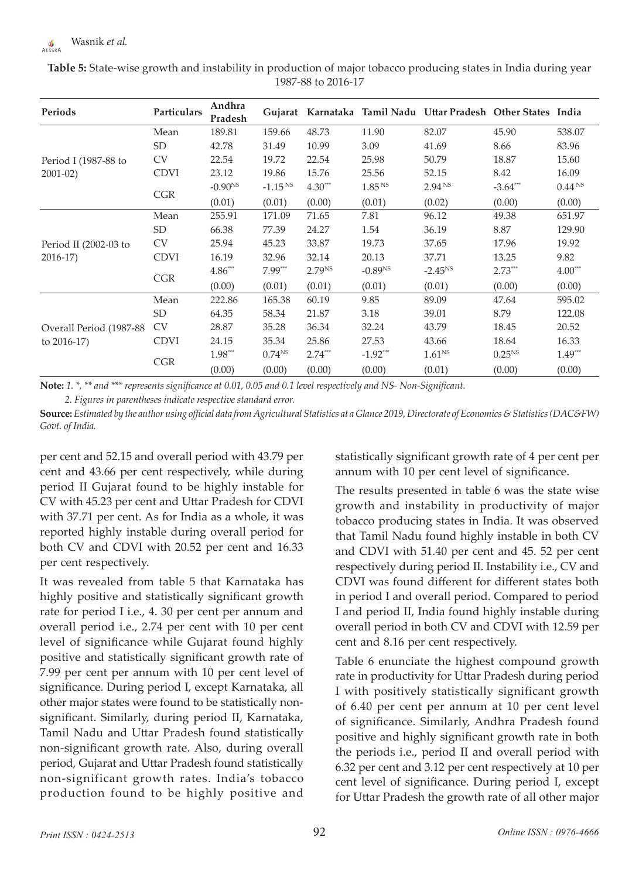| Periods                  | Particulars | Andhra<br>Pradesh |              |             |                    | Gujarat Karnataka Tamil Nadu Uttar Pradesh Other States India |             |                    |
|--------------------------|-------------|-------------------|--------------|-------------|--------------------|---------------------------------------------------------------|-------------|--------------------|
|                          | Mean        | 189.81            | 159.66       | 48.73       | 11.90              | 82.07                                                         | 45.90       | 538.07             |
|                          | <b>SD</b>   | 42.78             | 31.49        | 10.99       | 3.09               | 41.69                                                         | 8.66        | 83.96              |
| Period I (1987-88 to     | <b>CV</b>   | 22.54             | 19.72        | 22.54       | 25.98              | 50.79                                                         | 18.87       | 15.60              |
| $2001 - 02$              | <b>CDVI</b> | 23.12             | 19.86        | 15.76       | 25.56              | 52.15                                                         | 8.42        | 16.09              |
|                          |             | $-0.90^{NS}$      | $-1.15^{N5}$ | $4.30***$   | 1.85 <sup>NS</sup> | 2.94 <sup>NS</sup>                                            | $-3.64***$  | 0.44 <sup>NS</sup> |
|                          | <b>CGR</b>  | (0.01)            | (0.01)       | (0.00)      | (0.01)             | (0.02)                                                        | (0.00)      | (0.00)             |
|                          | Mean        | 255.91            | 171.09       | 71.65       | 7.81               | 96.12                                                         | 49.38       | 651.97             |
|                          | <b>SD</b>   | 66.38             | 77.39        | 24.27       | 1.54               | 36.19                                                         | 8.87        | 129.90             |
| Period II (2002-03 to    | <b>CV</b>   | 25.94             | 45.23        | 33.87       | 19.73              | 37.65                                                         | 17.96       | 19.92              |
| $2016-17$                | <b>CDVI</b> | 16.19             | 32.96        | 32.14       | 20.13              | 37.71                                                         | 13.25       | 9.82               |
|                          | <b>CGR</b>  | $4.86***$         | $7.99***$    | $2.79^{NS}$ | $-0.89NS$          | $-2.45^{NS}$                                                  | $2.73***$   | $4.00***$          |
|                          |             | (0.00)            | (0.01)       | (0.01)      | (0.01)             | (0.01)                                                        | (0.00)      | (0.00)             |
|                          | Mean        | 222.86            | 165.38       | 60.19       | 9.85               | 89.09                                                         | 47.64       | 595.02             |
|                          | <b>SD</b>   | 64.35             | 58.34        | 21.87       | 3.18               | 39.01                                                         | 8.79        | 122.08             |
| Overall Period (1987-88) | <b>CV</b>   | 28.87             | 35.28        | 36.34       | 32.24              | 43.79                                                         | 18.45       | 20.52              |
| to $2016-17$ )           | <b>CDVI</b> | 24.15             | 35.34        | 25.86       | 27.53              | 43.66                                                         | 18.64       | 16.33              |
|                          | <b>CGR</b>  | $1.98***$         | $0.74^{NS}$  | $2.74***$   | $-1.92***$         | 1.61 <sup>NS</sup>                                            | $0.25^{NS}$ | $1.49***$          |
|                          |             | (0.00)            | (0.00)       | (0.00)      | (0.00)             | (0.01)                                                        | (0.00)      | (0.00)             |

**Table 5:** State-wise growth and instability in production of major tobacco producing states in India during year 1987-88 to 2016-17

**Note:** *1. \*, \*\* and \*\*\* represents significance at 0.01, 0.05 and 0.1 level respectively and NS- Non-Significant. 2. Figures in parentheses indicate respective standard error.*

**Source:** *Estimated by the author using official data from Agricultural Statistics at a Glance 2019, Directorate of Economics & Statistics (DAC&FW) Govt. of India.*

per cent and 52.15 and overall period with 43.79 per cent and 43.66 per cent respectively, while during period II Gujarat found to be highly instable for CV with 45.23 per cent and Uttar Pradesh for CDVI with 37.71 per cent. As for India as a whole, it was reported highly instable during overall period for both CV and CDVI with 20.52 per cent and 16.33 per cent respectively.

It was revealed from table 5 that Karnataka has highly positive and statistically significant growth rate for period I i.e., 4. 30 per cent per annum and overall period i.e., 2.74 per cent with 10 per cent level of significance while Gujarat found highly positive and statistically significant growth rate of 7.99 per cent per annum with 10 per cent level of significance. During period I, except Karnataka, all other major states were found to be statistically nonsignificant. Similarly, during period II, Karnataka, Tamil Nadu and Uttar Pradesh found statistically non-significant growth rate. Also, during overall period, Gujarat and Uttar Pradesh found statistically non-significant growth rates. India's tobacco production found to be highly positive and

statistically significant growth rate of 4 per cent per annum with 10 per cent level of significance.

The results presented in table 6 was the state wise growth and instability in productivity of major tobacco producing states in India. It was observed that Tamil Nadu found highly instable in both CV and CDVI with 51.40 per cent and 45. 52 per cent respectively during period II. Instability i.e., CV and CDVI was found different for different states both in period I and overall period. Compared to period I and period II, India found highly instable during overall period in both CV and CDVI with 12.59 per cent and 8.16 per cent respectively.

Table 6 enunciate the highest compound growth rate in productivity for Uttar Pradesh during period I with positively statistically significant growth of 6.40 per cent per annum at 10 per cent level of significance. Similarly, Andhra Pradesh found positive and highly significant growth rate in both the periods i.e., period II and overall period with 6.32 per cent and 3.12 per cent respectively at 10 per cent level of significance. During period I, except for Uttar Pradesh the growth rate of all other major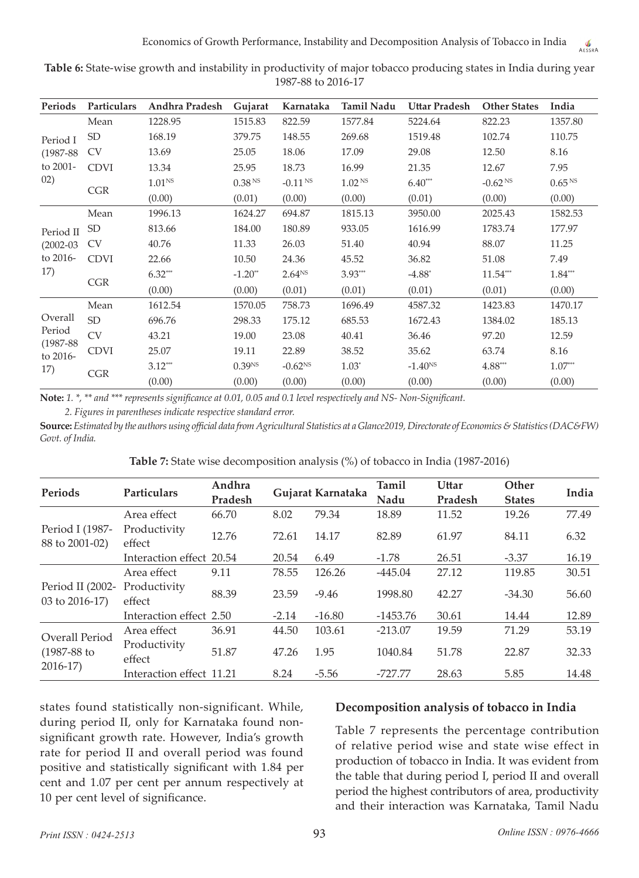| Periods                   | Particulars | Andhra Pradesh     | Gujarat               | Karnataka    | Tamil Nadu         | <b>Uttar Pradesh</b> | <b>Other States</b>   | India              |
|---------------------------|-------------|--------------------|-----------------------|--------------|--------------------|----------------------|-----------------------|--------------------|
|                           | Mean        | 1228.95            | 1515.83               | 822.59       | 1577.84            | 5224.64              | 822.23                | 1357.80            |
| Period I                  | <b>SD</b>   | 168.19             | 379.75                | 148.55       | 269.68             | 1519.48              | 102.74                | 110.75             |
| $(1987 - 88)$             | <b>CV</b>   | 13.69              | 25.05                 | 18.06        | 17.09              | 29.08                | 12.50                 | 8.16               |
| to 2001-                  | <b>CDVI</b> | 13.34              | 25.95                 | 18.73        | 16.99              | 21.35                | 12.67                 | 7.95               |
| 02)                       | <b>CGR</b>  | 1.01 <sup>NS</sup> | 0.38 <sup>NS</sup>    | $-0.11^{NS}$ | 1.02 <sup>NS</sup> | $6.40***$            | $-0.62$ <sup>NS</sup> | 0.65 <sup>NS</sup> |
|                           |             | (0.00)             | (0.01)                | (0.00)       | (0.00)             | (0.01)               | (0.00)                | (0.00)             |
|                           | Mean        | 1996.13            | 1624.27               | 694.87       | 1815.13            | 3950.00              | 2025.43               | 1582.53            |
| Period II                 | SD          | 813.66             | 184.00                | 180.89       | 933.05             | 1616.99              | 1783.74               | 177.97             |
| $(2002 - 03)$             | <b>CV</b>   | 40.76              | 11.33                 | 26.03        | 51.40              | 40.94                | 88.07                 | 11.25              |
| to 2016-                  | <b>CDVI</b> | 22.66              | 10.50                 | 24.36        | 45.52              | 36.82                | 51.08                 | 7.49               |
| 17)                       | CGR         | $6.32***$          | $-1.20$ <sup>**</sup> | $2.64^{NS}$  | $3.93***$          | $-4.88*$             | $11.54***$            | $1.84***$          |
|                           |             | (0.00)             | (0.00)                | (0.01)       | (0.01)             | (0.01)               | (0.01)                | (0.00)             |
|                           | Mean        | 1612.54            | 1570.05               | 758.73       | 1696.49            | 4587.32              | 1423.83               | 1470.17            |
| Overall                   | <b>SD</b>   | 696.76             | 298.33                | 175.12       | 685.53             | 1672.43              | 1384.02               | 185.13             |
| Period                    | <b>CV</b>   | 43.21              | 19.00                 | 23.08        | 40.41              | 36.46                | 97.20                 | 12.59              |
| $(1987 - 88)$<br>to 2016- | <b>CDVI</b> | 25.07              | 19.11                 | 22.89        | 38.52              | 35.62                | 63.74                 | 8.16               |
| 17)                       |             | $3.12***$          | 0.39 <sup>NS</sup>    | $-0.62^{NS}$ | $1.03*$            | $-1.40^{NS}$         | $4.88^{\ast\ast\ast}$ | $1.07***$          |
|                           | <b>CGR</b>  | (0.00)             | (0.00)                | (0.00)       | (0.00)             | (0.00)               | (0.00)                | (0.00)             |

**Table 6:** State-wise growth and instability in productivity of major tobacco producing states in India during year 1987-88 to 2016-17

**Note:** *1. \*, \*\* and \*\*\* represents significance at 0.01, 0.05 and 0.1 level respectively and NS- Non-Significant.*

*2. Figures in parentheses indicate respective standard error.*

**Source:** *Estimated by the authors using official data from Agricultural Statistics at a Glance2019, Directorate of Economics & Statistics (DAC&FW) Govt. of India.*

| Table 7: State wise decomposition analysis (%) of tobacco in India (1987-2016) |  |  |  |
|--------------------------------------------------------------------------------|--|--|--|
|--------------------------------------------------------------------------------|--|--|--|

|                                                            | Particulars              | Andhra  |         | Gujarat Karnataka |            | Uttar   | Other         | India |
|------------------------------------------------------------|--------------------------|---------|---------|-------------------|------------|---------|---------------|-------|
|                                                            |                          | Pradesh |         |                   | Nadu       | Pradesh | <b>States</b> |       |
|                                                            | Area effect              | 66.70   | 8.02    | 79.34             | 18.89      | 11.52   | 19.26         | 77.49 |
| Period I (1987-                                            | Productivity             |         |         |                   |            |         |               |       |
| 88 to 2001-02)                                             | effect                   | 12.76   | 72.61   | 14.17             | 82.89      | 61.97   | 84.11         | 6.32  |
|                                                            | Interaction effect 20.54 |         | 20.54   | 6.49              | $-1.78$    | 26.51   | $-3.37$       | 16.19 |
|                                                            | Area effect              | 9.11    | 78.55   | 126.26            | $-445.04$  | 27.12   | 119.85        | 30.51 |
| Period II (2002-                                           | Productivity             |         |         |                   |            |         |               |       |
| $03$ to $2016-17$ )                                        | effect                   | 88.39   | 23.59   | $-9.46$           | 1998.80    | 42.27   | $-34.30$      | 56.60 |
| Periods<br>Overall Period<br>$(1987 - 88)$ to<br>$2016-17$ | Interaction effect 2.50  |         | $-2.14$ | $-16.80$          | $-1453.76$ | 30.61   | 14.44         | 12.89 |
|                                                            | Area effect              | 36.91   | 44.50   | 103.61            | $-213.07$  | 19.59   | 71.29         | 53.19 |
|                                                            | Productivity             |         |         |                   |            |         |               |       |
|                                                            | effect                   | 51.87   | 47.26   | 1.95              | 1040.84    | 51.78   | 22.87         | 32.33 |
|                                                            | Interaction effect 11.21 |         | 8.24    | $-5.56$           | -727.77    | 28.63   | 5.85          | 14.48 |

states found statistically non-significant. While, during period II, only for Karnataka found nonsignificant growth rate. However, India's growth rate for period II and overall period was found positive and statistically significant with 1.84 per cent and 1.07 per cent per annum respectively at 10 per cent level of significance.

#### **Decomposition analysis of tobacco in India**

Table 7 represents the percentage contribution of relative period wise and state wise effect in production of tobacco in India. It was evident from the table that during period I, period II and overall period the highest contributors of area, productivity and their interaction was Karnataka, Tamil Nadu